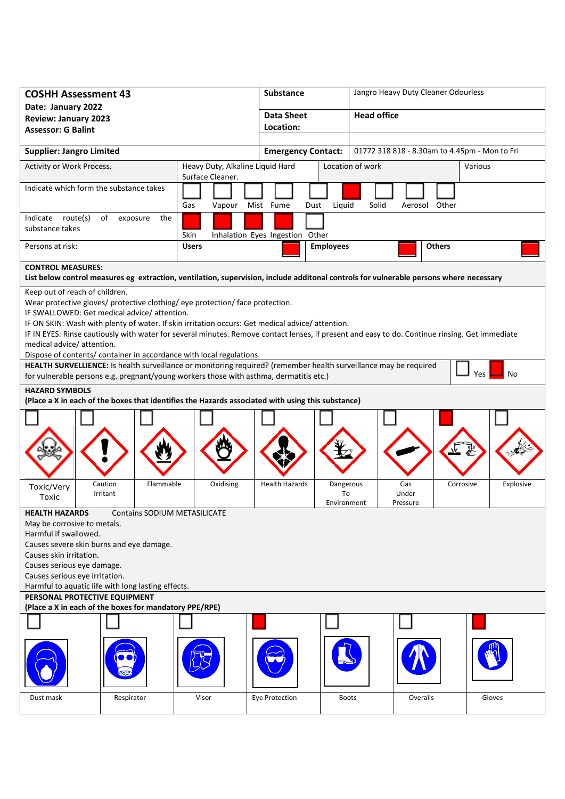| <b>COSHH Assessment 43</b>                                                                                                                                                                                                                                                                                                                                                                                                                                                                                                          |                                  |                                                                                                                                                                                                                                                                                                                                                                                                                                                                                                                  | <b>Substance</b>                |                                                                                                | Jangro Heavy Duty Cleaner Odourless |              |               |         |           |  |
|-------------------------------------------------------------------------------------------------------------------------------------------------------------------------------------------------------------------------------------------------------------------------------------------------------------------------------------------------------------------------------------------------------------------------------------------------------------------------------------------------------------------------------------|----------------------------------|------------------------------------------------------------------------------------------------------------------------------------------------------------------------------------------------------------------------------------------------------------------------------------------------------------------------------------------------------------------------------------------------------------------------------------------------------------------------------------------------------------------|---------------------------------|------------------------------------------------------------------------------------------------|-------------------------------------|--------------|---------------|---------|-----------|--|
| Date: January 2022<br><b>Review: January 2023</b><br><b>Assessor: G Balint</b>                                                                                                                                                                                                                                                                                                                                                                                                                                                      |                                  |                                                                                                                                                                                                                                                                                                                                                                                                                                                                                                                  | <b>Data Sheet</b><br>Location:  |                                                                                                | <b>Head office</b>                  |              |               |         |           |  |
|                                                                                                                                                                                                                                                                                                                                                                                                                                                                                                                                     |                                  |                                                                                                                                                                                                                                                                                                                                                                                                                                                                                                                  |                                 |                                                                                                |                                     |              |               |         |           |  |
| <b>Supplier: Jangro Limited</b>                                                                                                                                                                                                                                                                                                                                                                                                                                                                                                     |                                  |                                                                                                                                                                                                                                                                                                                                                                                                                                                                                                                  |                                 | 01772 318 818 - 8.30am to 4.45pm - Mon to Fri<br><b>Emergency Contact:</b><br>Location of work |                                     |              |               |         |           |  |
| Heavy Duty, Alkaline Liquid Hard<br>Activity or Work Process.<br>Surface Cleaner.                                                                                                                                                                                                                                                                                                                                                                                                                                                   |                                  |                                                                                                                                                                                                                                                                                                                                                                                                                                                                                                                  |                                 |                                                                                                |                                     |              |               | Various |           |  |
| Indicate which form the substance takes                                                                                                                                                                                                                                                                                                                                                                                                                                                                                             |                                  | Gas<br>Vapour Mist Fume                                                                                                                                                                                                                                                                                                                                                                                                                                                                                          | Dust                            | Liquid                                                                                         | Solid                               |              | Aerosol Other |         |           |  |
| Indicate route(s)<br>substance takes                                                                                                                                                                                                                                                                                                                                                                                                                                                                                                | of<br>exposure<br>the            | Skin                                                                                                                                                                                                                                                                                                                                                                                                                                                                                                             | Inhalation Eyes Ingestion Other |                                                                                                |                                     |              |               |         |           |  |
| Persons at risk:                                                                                                                                                                                                                                                                                                                                                                                                                                                                                                                    |                                  | <b>Users</b>                                                                                                                                                                                                                                                                                                                                                                                                                                                                                                     |                                 | <b>Employees</b>                                                                               |                                     |              | <b>Others</b> |         |           |  |
| <b>CONTROL MEASURES:</b><br>List below control measures eg extraction, ventilation, supervision, include additonal controls for vulnerable persons where necessary                                                                                                                                                                                                                                                                                                                                                                  |                                  |                                                                                                                                                                                                                                                                                                                                                                                                                                                                                                                  |                                 |                                                                                                |                                     |              |               |         |           |  |
| IF SWALLOWED: Get medical advice/attention.<br>medical advice/ attention.<br>HEALTH SURVELLIENCE: Is health surveillance or monitoring required? (remember health surveillance may be required<br>for vulnerable persons e.g. pregnant/young workers those with asthma, dermatitis etc.)<br><b>HAZARD SYMBOLS</b>                                                                                                                                                                                                                   |                                  | Wear protective gloves/ protective clothing/ eye protection/ face protection.<br>IF ON SKIN: Wash with plenty of water. If skin irritation occurs: Get medical advice/ attention.<br>IF IN EYES: Rinse cautiously with water for several minutes. Remove contact lenses, if present and easy to do. Continue rinsing. Get immediate<br>Dispose of contents/ container in accordance with local regulations.<br>(Place a X in each of the boxes that identifies the Hazards associated with using this substance) |                                 |                                                                                                |                                     |              |               | Yes     | No        |  |
| Toxic/Very<br><b>Toxic</b>                                                                                                                                                                                                                                                                                                                                                                                                                                                                                                          | Caution<br>Flammable<br>Irritant | Oxidising                                                                                                                                                                                                                                                                                                                                                                                                                                                                                                        | <b>Health Hazards</b>           | Dangerous<br>To                                                                                |                                     | Gas<br>Under | Corrosive     |         | Explosive |  |
| Environment<br>Pressure<br><b>HEALTH HAZARDS</b><br><b>Contains SODIUM METASILICATE</b><br>May be corrosive to metals.<br>Harmful if swallowed.<br>Causes severe skin burns and eye damage.<br>Causes skin irritation.<br>Causes serious eye damage.<br>Causes serious eye irritation.<br>Harmful to aquatic life with long lasting effects.<br>PERSONAL PROTECTIVE EQUIPMENT<br>(Place a X in each of the boxes for mandatory PPE/RPE)<br>Eye Protection<br>Overalls<br>Gloves<br>Respirator<br>Visor<br>Dust mask<br><b>Boots</b> |                                  |                                                                                                                                                                                                                                                                                                                                                                                                                                                                                                                  |                                 |                                                                                                |                                     |              |               |         |           |  |
|                                                                                                                                                                                                                                                                                                                                                                                                                                                                                                                                     |                                  |                                                                                                                                                                                                                                                                                                                                                                                                                                                                                                                  |                                 |                                                                                                |                                     |              |               |         |           |  |